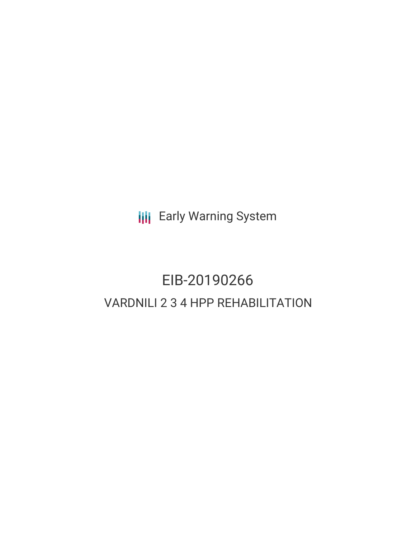**III** Early Warning System

# EIB-20190266 VARDNILI 2 3 4 HPP REHABILITATION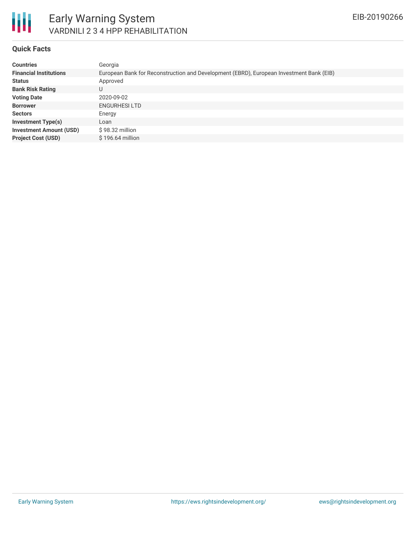

## Early Warning System VARDNILI 2 3 4 HPP REHABILITATION

#### **Quick Facts**

| <b>Countries</b>               | Georgia                                                                                 |
|--------------------------------|-----------------------------------------------------------------------------------------|
| <b>Financial Institutions</b>  | European Bank for Reconstruction and Development (EBRD), European Investment Bank (EIB) |
| <b>Status</b>                  | Approved                                                                                |
| <b>Bank Risk Rating</b>        | U                                                                                       |
| <b>Voting Date</b>             | 2020-09-02                                                                              |
| <b>Borrower</b>                | <b>ENGURHESILTD</b>                                                                     |
| <b>Sectors</b>                 | Energy                                                                                  |
| <b>Investment Type(s)</b>      | Loan                                                                                    |
| <b>Investment Amount (USD)</b> | $$98.32$ million                                                                        |
| <b>Project Cost (USD)</b>      | $$196.64$ million                                                                       |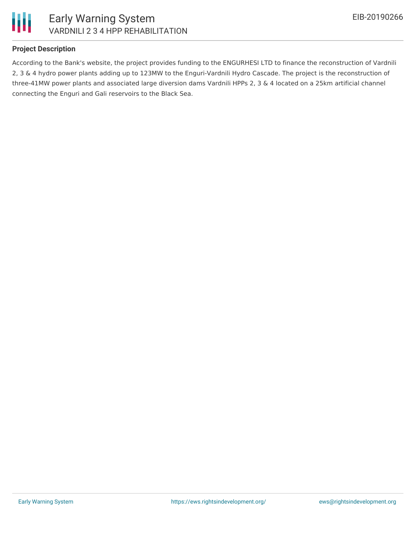

### **Project Description**

According to the Bank's website, the project provides funding to the ENGURHESI LTD to finance the reconstruction of Vardnili 2, 3 & 4 hydro power plants adding up to 123MW to the Enguri-Vardnili Hydro Cascade. The project is the reconstruction of three-41MW power plants and associated large diversion dams Vardnili HPPs 2, 3 & 4 located on a 25km artificial channel connecting the Enguri and Gali reservoirs to the Black Sea.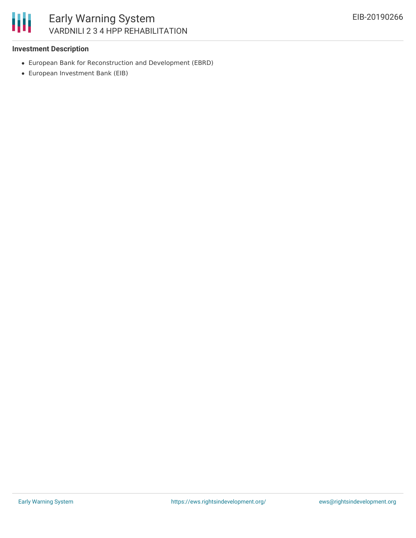

## Early Warning System VARDNILI 2 3 4 HPP REHABILITATION

#### **Investment Description**

- European Bank for Reconstruction and Development (EBRD)
- European Investment Bank (EIB)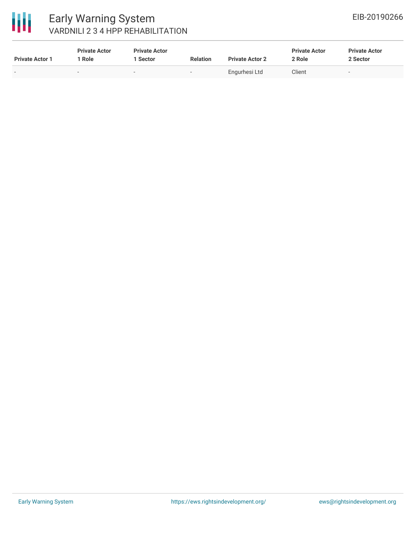

## Early Warning System VARDNILI 2 3 4 HPP REHABILITATION

| <b>Private Actor 1</b> | <b>Private Actor</b><br>Role | <b>Private Actor</b><br>Sector | <b>Relation</b> | <b>Private Actor 2</b> | <b>Private Actor</b><br>2 Role | <b>Private Actor</b><br>2 Sector |  |
|------------------------|------------------------------|--------------------------------|-----------------|------------------------|--------------------------------|----------------------------------|--|
|                        | -                            |                                | $\sim$          | Engurhesi Ltd          | Client                         | . .                              |  |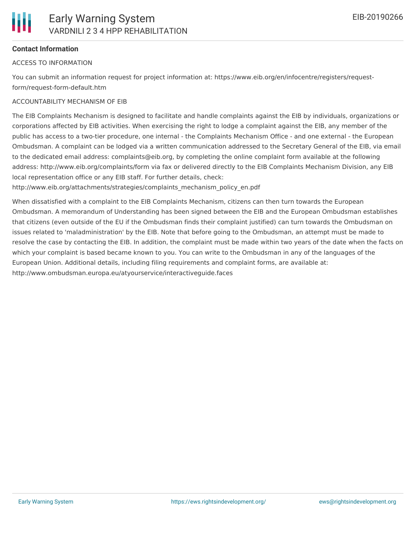

## **Contact Information**

## ACCESS TO INFORMATION

You can submit an information request for project information at: https://www.eib.org/en/infocentre/registers/requestform/request-form-default.htm

## ACCOUNTABILITY MECHANISM OF EIB

The EIB Complaints Mechanism is designed to facilitate and handle complaints against the EIB by individuals, organizations or corporations affected by EIB activities. When exercising the right to lodge a complaint against the EIB, any member of the public has access to a two-tier procedure, one internal - the Complaints Mechanism Office - and one external - the European Ombudsman. A complaint can be lodged via a written communication addressed to the Secretary General of the EIB, via email to the dedicated email address: complaints@eib.org, by completing the online complaint form available at the following address: http://www.eib.org/complaints/form via fax or delivered directly to the EIB Complaints Mechanism Division, any EIB local representation office or any EIB staff. For further details, check:

http://www.eib.org/attachments/strategies/complaints\_mechanism\_policy\_en.pdf

When dissatisfied with a complaint to the EIB Complaints Mechanism, citizens can then turn towards the European Ombudsman. A memorandum of Understanding has been signed between the EIB and the European Ombudsman establishes that citizens (even outside of the EU if the Ombudsman finds their complaint justified) can turn towards the Ombudsman on issues related to 'maladministration' by the EIB. Note that before going to the Ombudsman, an attempt must be made to resolve the case by contacting the EIB. In addition, the complaint must be made within two years of the date when the facts on which your complaint is based became known to you. You can write to the Ombudsman in any of the languages of the European Union. Additional details, including filing requirements and complaint forms, are available at: http://www.ombudsman.europa.eu/atyourservice/interactiveguide.faces